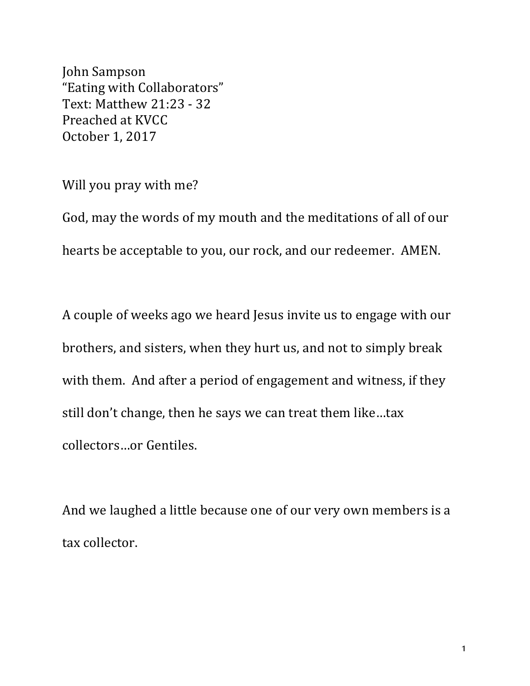John Sampson "Eating with Collaborators" Text: Matthew 21:23 - 32 Preached at KVCC October 1, 2017

Will you pray with me?

God, may the words of my mouth and the meditations of all of our hearts be acceptable to you, our rock, and our redeemer. AMEN.

A couple of weeks ago we heard Jesus invite us to engage with our brothers, and sisters, when they hurt us, and not to simply break with them. And after a period of engagement and witness, if they still don't change, then he says we can treat them like...tax collectors...or Gentiles.

And we laughed a little because one of our very own members is a tax collector.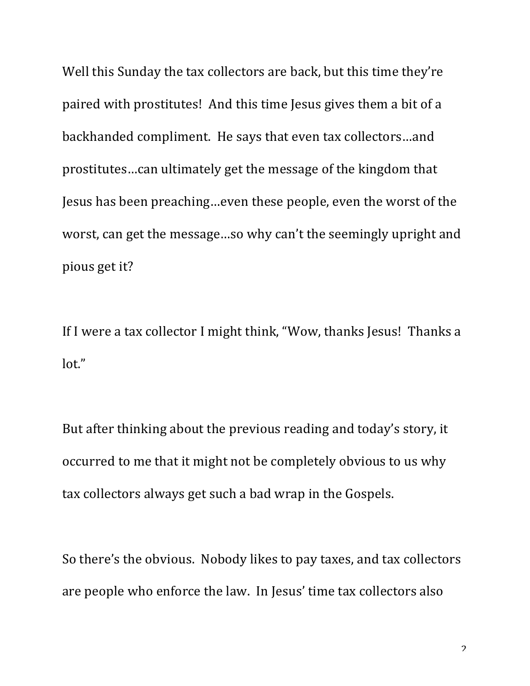Well this Sunday the tax collectors are back, but this time they're paired with prostitutes! And this time Jesus gives them a bit of a backhanded compliment. He says that even tax collectors...and prostitutes...can ultimately get the message of the kingdom that Jesus has been preaching...even these people, even the worst of the worst, can get the message...so why can't the seemingly upright and pious get it?

If I were a tax collector I might think, "Wow, thanks Jesus! Thanks a lot."

But after thinking about the previous reading and today's story, it occurred to me that it might not be completely obvious to us why tax collectors always get such a bad wrap in the Gospels.

So there's the obvious. Nobody likes to pay taxes, and tax collectors are people who enforce the law. In Jesus' time tax collectors also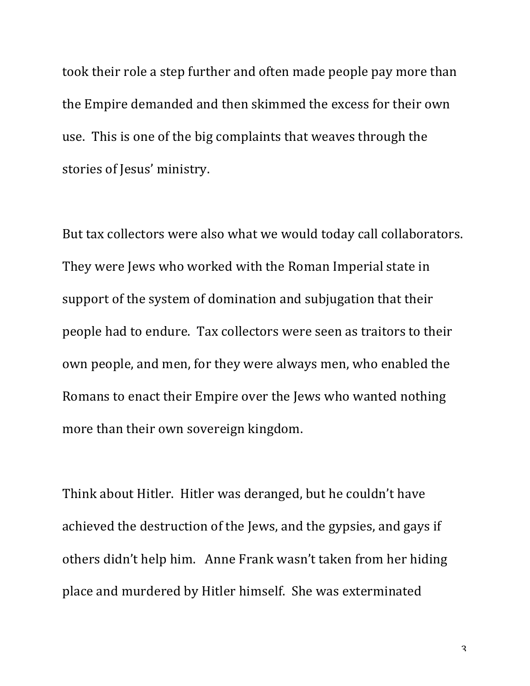took their role a step further and often made people pay more than the Empire demanded and then skimmed the excess for their own use. This is one of the big complaints that weaves through the stories of Jesus' ministry.

But tax collectors were also what we would today call collaborators. They were Jews who worked with the Roman Imperial state in support of the system of domination and subjugation that their people had to endure. Tax collectors were seen as traitors to their own people, and men, for they were always men, who enabled the Romans to enact their Empire over the Jews who wanted nothing more than their own sovereign kingdom.

Think about Hitler. Hitler was deranged, but he couldn't have achieved the destruction of the Jews, and the gypsies, and gays if others didn't help him. Anne Frank wasn't taken from her hiding place and murdered by Hitler himself. She was exterminated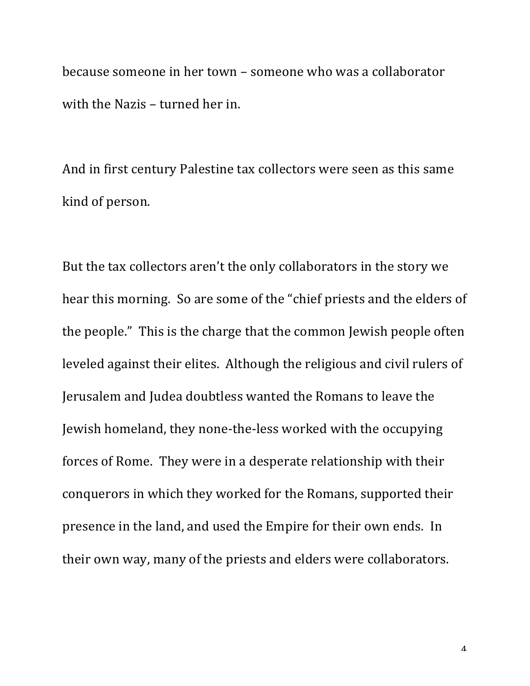because someone in her town – someone who was a collaborator with the Nazis – turned her in.

And in first century Palestine tax collectors were seen as this same kind of person.

But the tax collectors aren't the only collaborators in the story we hear this morning. So are some of the "chief priests and the elders of the people." This is the charge that the common Jewish people often leveled against their elites. Although the religious and civil rulers of Jerusalem and Judea doubtless wanted the Romans to leave the Jewish homeland, they none-the-less worked with the occupying forces of Rome. They were in a desperate relationship with their conquerors in which they worked for the Romans, supported their presence in the land, and used the Empire for their own ends. In their own way, many of the priests and elders were collaborators.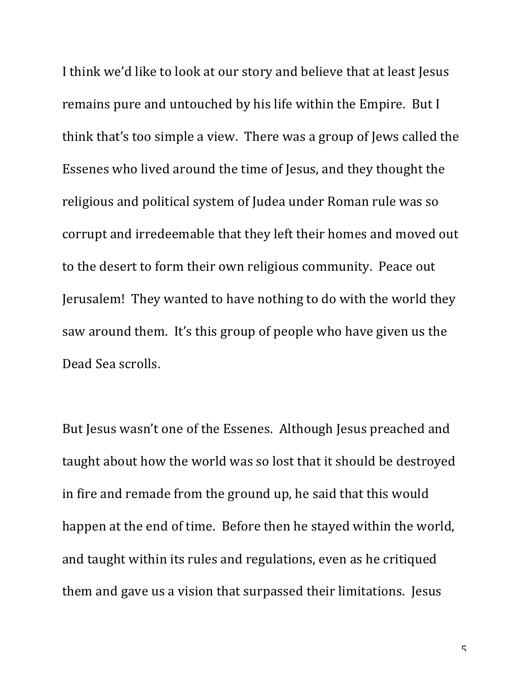I think we'd like to look at our story and believe that at least Jesus remains pure and untouched by his life within the Empire. But I think that's too simple a view. There was a group of Jews called the Essenes who lived around the time of Jesus, and they thought the religious and political system of Judea under Roman rule was so corrupt and irredeemable that they left their homes and moved out to the desert to form their own religious community. Peace out Jerusalem! They wanted to have nothing to do with the world they saw around them. It's this group of people who have given us the Dead Sea scrolls.

But Jesus wasn't one of the Essenes. Although Jesus preached and taught about how the world was so lost that it should be destroyed in fire and remade from the ground up, he said that this would happen at the end of time. Before then he stayed within the world, and taught within its rules and regulations, even as he critiqued them and gave us a vision that surpassed their limitations. Jesus

 $\sqrt{2}$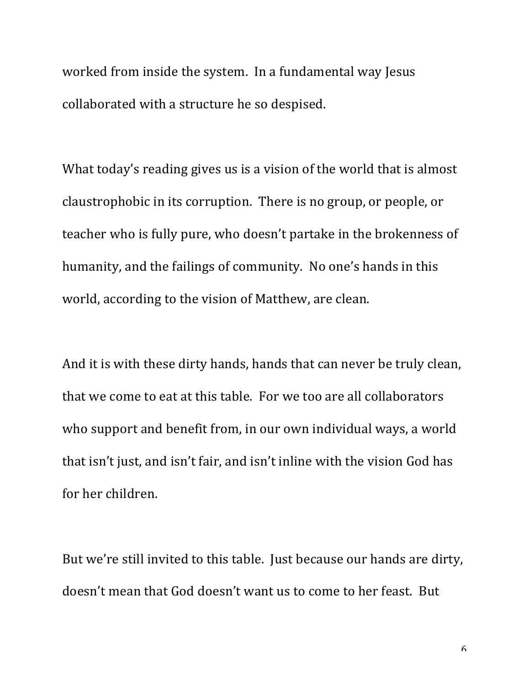worked from inside the system. In a fundamental way Jesus collaborated with a structure he so despised.

What today's reading gives us is a vision of the world that is almost claustrophobic in its corruption. There is no group, or people, or teacher who is fully pure, who doesn't partake in the brokenness of humanity, and the failings of community. No one's hands in this world, according to the vision of Matthew, are clean.

And it is with these dirty hands, hands that can never be truly clean, that we come to eat at this table. For we too are all collaborators who support and benefit from, in our own individual ways, a world that isn't just, and isn't fair, and isn't inline with the vision God has for her children.

But we're still invited to this table. Just because our hands are dirty, doesn't mean that God doesn't want us to come to her feast. But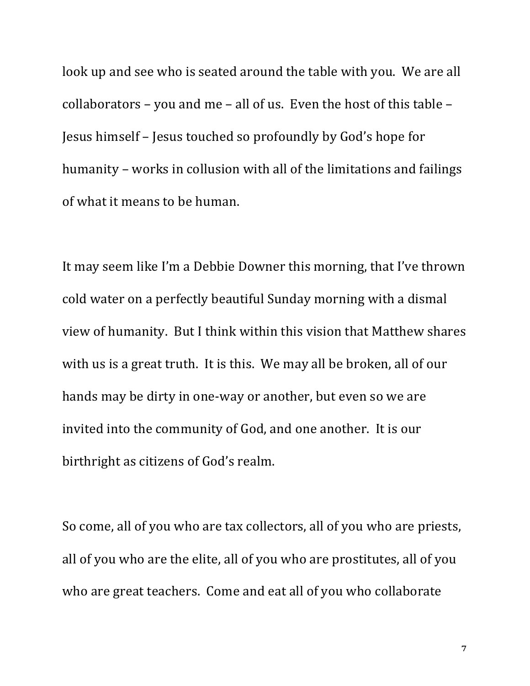look up and see who is seated around the table with you. We are all collaborators – you and me – all of us. Even the host of this table – Jesus himself - Jesus touched so profoundly by God's hope for humanity – works in collusion with all of the limitations and failings of what it means to be human.

It may seem like I'm a Debbie Downer this morning, that I've thrown cold water on a perfectly beautiful Sunday morning with a dismal view of humanity. But I think within this vision that Matthew shares with us is a great truth. It is this. We may all be broken, all of our hands may be dirty in one-way or another, but even so we are invited into the community of God, and one another. It is our birthright as citizens of God's realm.

So come, all of you who are tax collectors, all of you who are priests, all of you who are the elite, all of you who are prostitutes, all of you who are great teachers. Come and eat all of you who collaborate